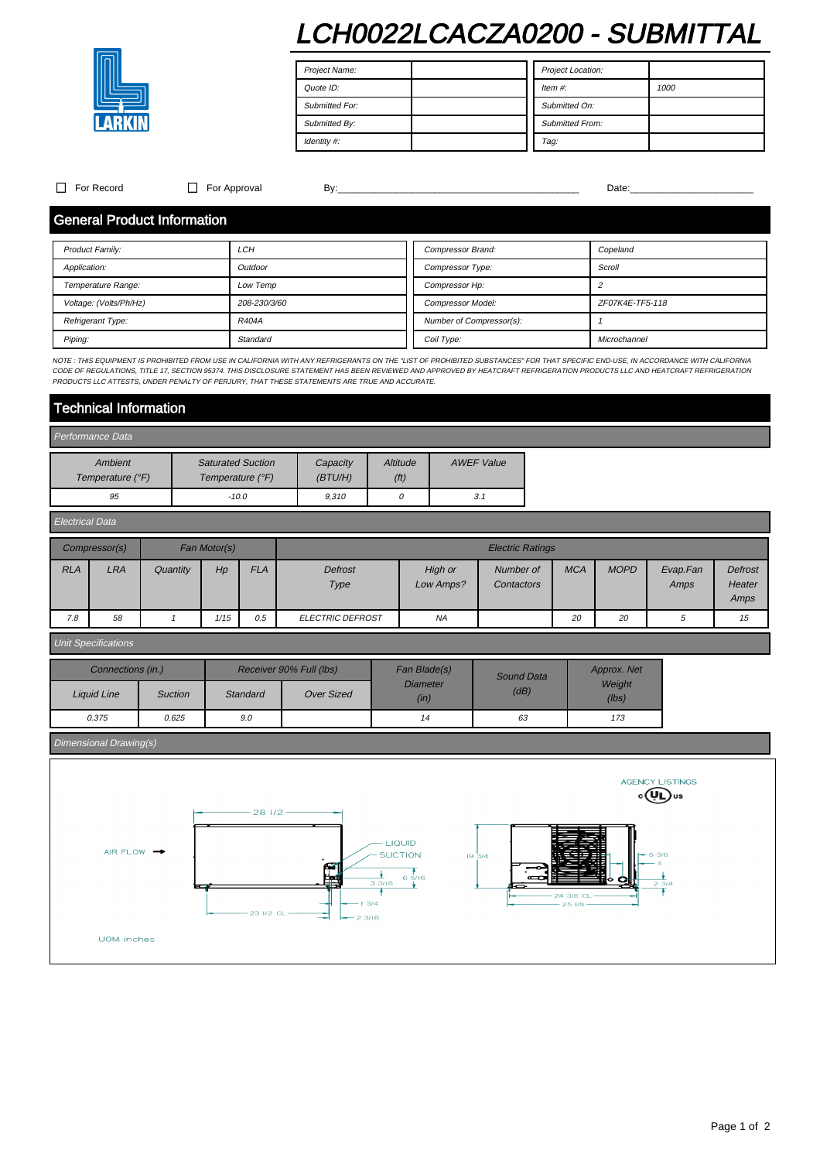# LCH0022LCACZA0200 - SUBMITTAL



Project Name: Quote ID: Submitted For: Submitted By: Identity #: Project Location: Item #: 1000 Submitted On: Submitted From: Tag:

 $\Box$  For Record  $\Box$  For Approval By:  $\Box$  By:  $\Box$   $\Box$   $\Box$   $\Box$   $\Box$  Date:

### General Product Information

| Product Family:        | LCH          | Compressor Brand:        | Copeland        |  |  |
|------------------------|--------------|--------------------------|-----------------|--|--|
| Application:           | Outdoor      | <b>Compressor Type:</b>  | Scroll          |  |  |
| Temperature Range:     | Low Temp     | Compressor Hp:           |                 |  |  |
| Voltage: (Volts/Ph/Hz) | 208-230/3/60 | <b>Compressor Model:</b> | ZF07K4E-TF5-118 |  |  |
| Refrigerant Type:      | R404A        | Number of Compressor(s): |                 |  |  |
| Piping:                | Standard     | Coil Type:               | Microchannel    |  |  |

NOTE : THIS EQUIPMENT IS PROHIBITED FROM USE IN CALIFORNIA WITH ANY REFRIGERANTS ON THE "LIST OF PROHIBITED SUBSTANCES" FOR THAT SPECIFIC END-USE, IN ACCORDANCE WITH CALIFORNIA CODE OF REGULATIONS, TITLE 17, SECTION 95374. THIS DISCLOSURE STATEMENT HAS BEEN REVIEWED AND APPROVED BY HEATCRAFT REFRIGERATION PRODUCTS LLC AND HEATCRAFT REFRIGERATION<br>PRODUCTS LLC ATTESTS, UNDER PENALTY OF PERJURY, THA

# Technical Information

#### Performance Data Ambient Temperature (°F) Saturated Suction Temperature (°F) **Capacity** (BTU/H) **Altitude** (ft) AWEF Value 95 -10.0 - 9,310 0 3.1

| <b>Electrical Data</b> |               |              |      |            |                         |                      |                         |            |             |                  |                                  |
|------------------------|---------------|--------------|------|------------|-------------------------|----------------------|-------------------------|------------|-------------|------------------|----------------------------------|
|                        | Compressor(s) | Fan Motor(s) |      |            | <b>Electric Ratings</b> |                      |                         |            |             |                  |                                  |
| <b>RLA</b>             | <b>LRA</b>    | Quantity     | Hp   | <b>FLA</b> | Defrost<br>Type         | High or<br>Low Amps? | Number of<br>Contactors | <b>MCA</b> | <b>MOPD</b> | Evap.Fan<br>Amps | <b>Defrost</b><br>Heater<br>Amps |
| 7.8                    | 58            |              | 1/15 | 0.5        | <b>ELECTRIC DEFROST</b> | <b>NA</b>            |                         | 20         | 20          | 5                | 15                               |

#### Unit Specifications

| Connections (in.)  |                |          | Receiver 90% Full (lbs) | Fan Blade(s)<br><b>Diameter</b><br>(in) | <b>Sound Data</b> | Approx. Net     |  |
|--------------------|----------------|----------|-------------------------|-----------------------------------------|-------------------|-----------------|--|
| <b>Liquid Line</b> | <b>Suction</b> | Standard | <b>Over Sized</b>       |                                         | (dB)              | Weight<br>(lbs) |  |
| 0.375              | 0.625          | 9.0      |                         | 14                                      | 63                | 173             |  |

## Dimensional Drawing(s)